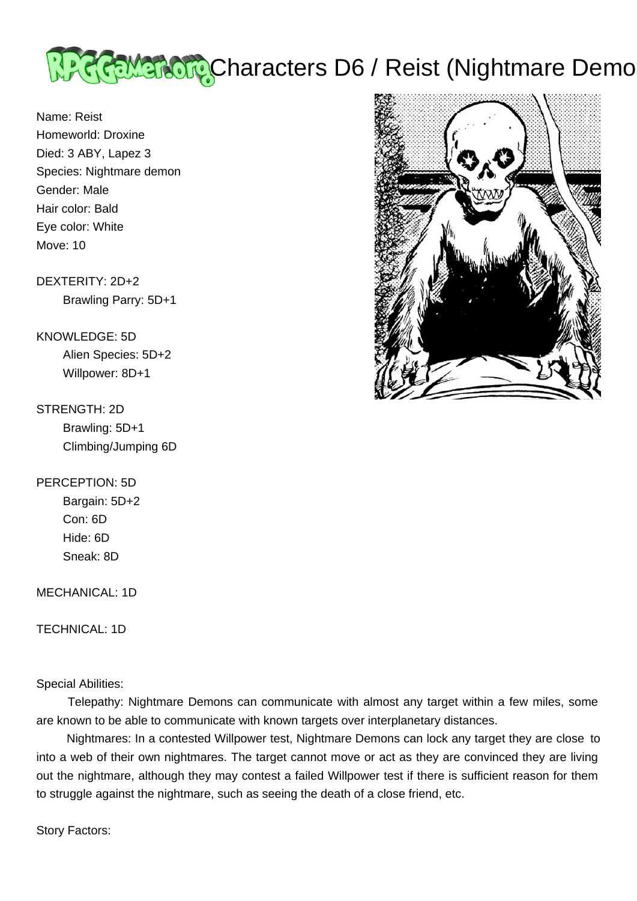

Name: Reist Homeworld: Droxine Died: 3 ABY, Lapez 3 Species: Nightmare demon Gender: Male Hair color: Bald Eye color: White Move: 10

## DEXTERITY: 2D+2 Brawling Parry: 5D+1

# KNOWLEDGE: 5D Alien Species: 5D+2 Willpower: 8D+1

## STRENGTH: 2D

 Brawling: 5D+1 Climbing/Jumping 6D

## PERCEPTION: 5D

 Bargain: 5D+2 Con: 6D Hide: 6D Sneak: 8D

### MECHANICAL: 1D

TECHNICAL: 1D

## Special Abilities:

 Telepathy: Nightmare Demons can communicate with almost any target within a few miles, some are known to be able to communicate with known targets over interplanetary distances.

 Nightmares: In a contested Willpower test, Nightmare Demons can lock any target they are close to into a web of their own nightmares. The target cannot move or act as they are convinced they are living out the nightmare, although they may contest a failed Willpower test if there is sufficient reason for them to struggle against the nightmare, such as seeing the death of a close friend, etc.

Story Factors:

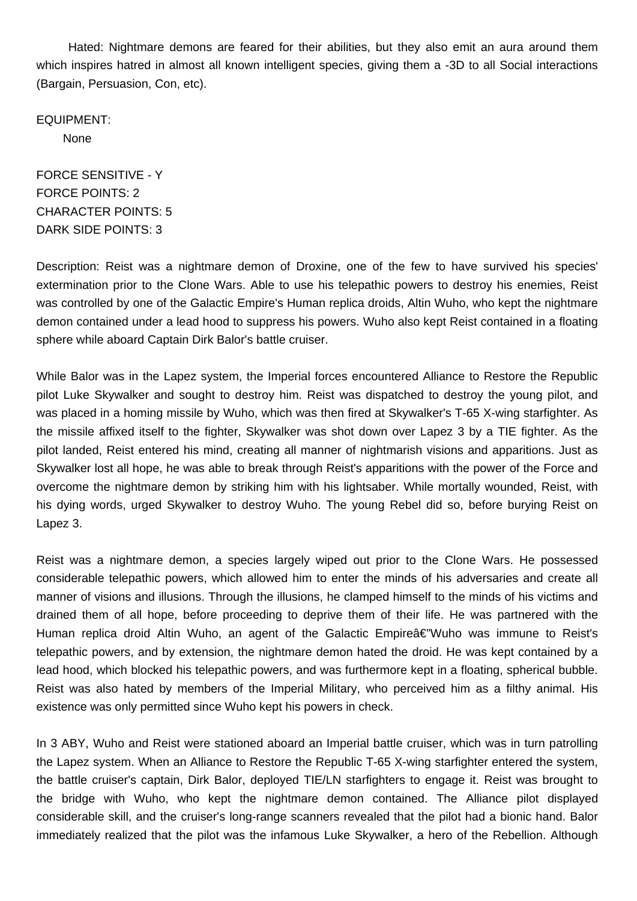Hated: Nightmare demons are feared for their abilities, but they also emit an aura around them which inspires hatred in almost all known intelligent species, giving them a -3D to all Social interactions (Bargain, Persuasion, Con, etc).

EQUIPMENT:

None

FORCE SENSITIVE - Y FORCE POINTS: 2 CHARACTER POINTS: 5 DARK SIDE POINTS: 3

Description: Reist was a nightmare demon of Droxine, one of the few to have survived his species' extermination prior to the Clone Wars. Able to use his telepathic powers to destroy his enemies, Reist was controlled by one of the Galactic Empire's Human replica droids, Altin Wuho, who kept the nightmare demon contained under a lead hood to suppress his powers. Wuho also kept Reist contained in a floating sphere while aboard Captain Dirk Balor's battle cruiser.

While Balor was in the Lapez system, the Imperial forces encountered Alliance to Restore the Republic pilot Luke Skywalker and sought to destroy him. Reist was dispatched to destroy the young pilot, and was placed in a homing missile by Wuho, which was then fired at Skywalker's T-65 X-wing starfighter. As the missile affixed itself to the fighter, Skywalker was shot down over Lapez 3 by a TIE fighter. As the pilot landed, Reist entered his mind, creating all manner of nightmarish visions and apparitions. Just as Skywalker lost all hope, he was able to break through Reist's apparitions with the power of the Force and overcome the nightmare demon by striking him with his lightsaber. While mortally wounded, Reist, with his dying words, urged Skywalker to destroy Wuho. The young Rebel did so, before burying Reist on Lapez 3.

Reist was a nightmare demon, a species largely wiped out prior to the Clone Wars. He possessed considerable telepathic powers, which allowed him to enter the minds of his adversaries and create all manner of visions and illusions. Through the illusions, he clamped himself to the minds of his victims and drained them of all hope, before proceeding to deprive them of their life. He was partnered with the Human replica droid Altin Wuho, an agent of the Galactic Empireâ€"Wuho was immune to Reist's telepathic powers, and by extension, the nightmare demon hated the droid. He was kept contained by a lead hood, which blocked his telepathic powers, and was furthermore kept in a floating, spherical bubble. Reist was also hated by members of the Imperial Military, who perceived him as a filthy animal. His existence was only permitted since Wuho kept his powers in check.

In 3 ABY, Wuho and Reist were stationed aboard an Imperial battle cruiser, which was in turn patrolling the Lapez system. When an Alliance to Restore the Republic T-65 X-wing starfighter entered the system, the battle cruiser's captain, Dirk Balor, deployed TIE/LN starfighters to engage it. Reist was brought to the bridge with Wuho, who kept the nightmare demon contained. The Alliance pilot displayed considerable skill, and the cruiser's long-range scanners revealed that the pilot had a bionic hand. Balor immediately realized that the pilot was the infamous Luke Skywalker, a hero of the Rebellion. Although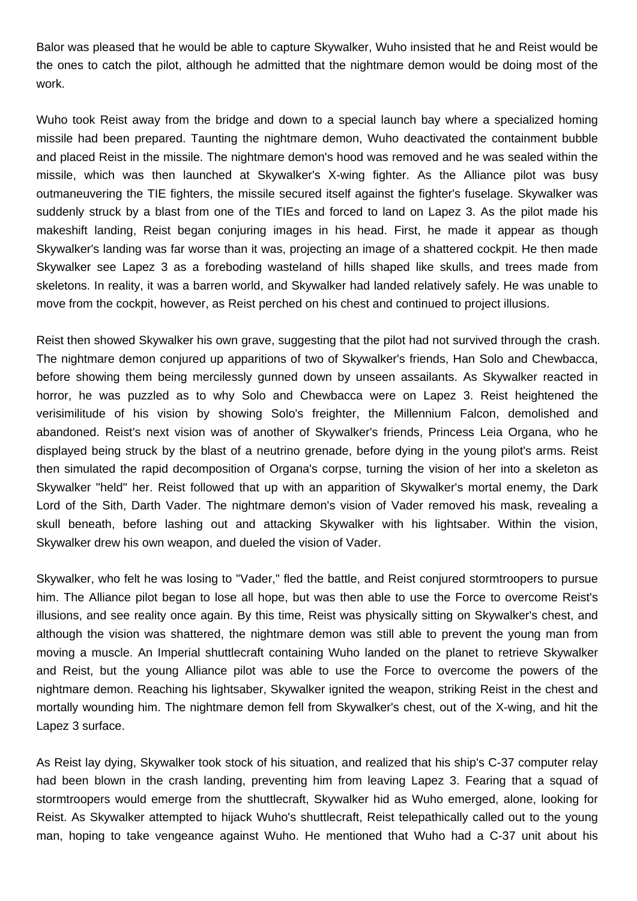Balor was pleased that he would be able to capture Skywalker, Wuho insisted that he and Reist would be the ones to catch the pilot, although he admitted that the nightmare demon would be doing most of the work.

Wuho took Reist away from the bridge and down to a special launch bay where a specialized homing missile had been prepared. Taunting the nightmare demon, Wuho deactivated the containment bubble and placed Reist in the missile. The nightmare demon's hood was removed and he was sealed within the missile, which was then launched at Skywalker's X-wing fighter. As the Alliance pilot was busy outmaneuvering the TIE fighters, the missile secured itself against the fighter's fuselage. Skywalker was suddenly struck by a blast from one of the TIEs and forced to land on Lapez 3. As the pilot made his makeshift landing, Reist began conjuring images in his head. First, he made it appear as though Skywalker's landing was far worse than it was, projecting an image of a shattered cockpit. He then made Skywalker see Lapez 3 as a foreboding wasteland of hills shaped like skulls, and trees made from skeletons. In reality, it was a barren world, and Skywalker had landed relatively safely. He was unable to move from the cockpit, however, as Reist perched on his chest and continued to project illusions.

Reist then showed Skywalker his own grave, suggesting that the pilot had not survived through the crash. The nightmare demon conjured up apparitions of two of Skywalker's friends, Han Solo and Chewbacca, before showing them being mercilessly gunned down by unseen assailants. As Skywalker reacted in horror, he was puzzled as to why Solo and Chewbacca were on Lapez 3. Reist heightened the verisimilitude of his vision by showing Solo's freighter, the Millennium Falcon, demolished and abandoned. Reist's next vision was of another of Skywalker's friends, Princess Leia Organa, who he displayed being struck by the blast of a neutrino grenade, before dying in the young pilot's arms. Reist then simulated the rapid decomposition of Organa's corpse, turning the vision of her into a skeleton as Skywalker "held" her. Reist followed that up with an apparition of Skywalker's mortal enemy, the Dark Lord of the Sith, Darth Vader. The nightmare demon's vision of Vader removed his mask, revealing a skull beneath, before lashing out and attacking Skywalker with his lightsaber. Within the vision, Skywalker drew his own weapon, and dueled the vision of Vader.

Skywalker, who felt he was losing to "Vader," fled the battle, and Reist conjured stormtroopers to pursue him. The Alliance pilot began to lose all hope, but was then able to use the Force to overcome Reist's illusions, and see reality once again. By this time, Reist was physically sitting on Skywalker's chest, and although the vision was shattered, the nightmare demon was still able to prevent the young man from moving a muscle. An Imperial shuttlecraft containing Wuho landed on the planet to retrieve Skywalker and Reist, but the young Alliance pilot was able to use the Force to overcome the powers of the nightmare demon. Reaching his lightsaber, Skywalker ignited the weapon, striking Reist in the chest and mortally wounding him. The nightmare demon fell from Skywalker's chest, out of the X-wing, and hit the Lapez 3 surface.

As Reist lay dying, Skywalker took stock of his situation, and realized that his ship's C-37 computer relay had been blown in the crash landing, preventing him from leaving Lapez 3. Fearing that a squad of stormtroopers would emerge from the shuttlecraft, Skywalker hid as Wuho emerged, alone, looking for Reist. As Skywalker attempted to hijack Wuho's shuttlecraft, Reist telepathically called out to the young man, hoping to take vengeance against Wuho. He mentioned that Wuho had a C-37 unit about his